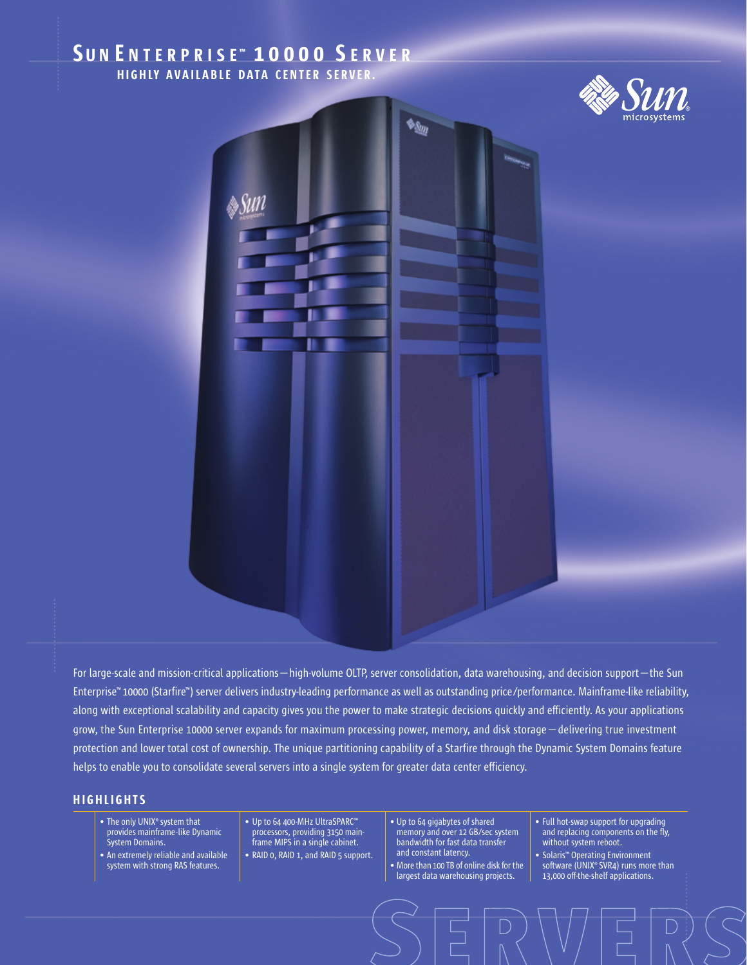# SUN ENTERPRISE<sup>™</sup> 10000 SERVER HIGHLY AVAILABLE DATA CENTER SERVER.





For large-scale and mission-critical applications—high-volume OLTP, server consolidation, data warehousing, and decision support—the Sun Enterprise™ 10000 (Starfire™) server delivers industry-leading performance as well as outstanding price/performance. Mainframe-like reliability, along with exceptional scalability and capacity gives you the power to make strategic decisions quickly and efficiently. As your applications grow, the Sun Enterprise 10000 server expands for maximum processing power, memory, and disk storage—delivering true investment protection and lower total cost of ownership. The unique partitioning capability of a Starfire through the Dynamic System Domains feature helps to enable you to consolidate several servers into a single system for greater data center efficiency.

## **HIGHLIGHTS**

- The only UNIX<sup>®</sup> system that provides mainframe-like Dynamic System Domains.
- An extremely reliable and available system with strong RAS features.
- Up to 64 400-MHz UltraSPARC™ processors, providing 3150 mainframe MIPS in a single cabinet.
- RAID 0, RAID 1, and RAID 5 support.
- Up to 64 gigabytes of shared memory and over 12 GB/sec system bandwidth for fast data transfer and constant latency.
- More than 100 TB of online disk for the largest data warehousing projects.
- Full hot-swap support for upgrading and replacing components on the fly, without system reboot.
- Solaris™ Operating Environment software (UNIX® SVR4) runs more than 13,000 off-the-shelf applications.